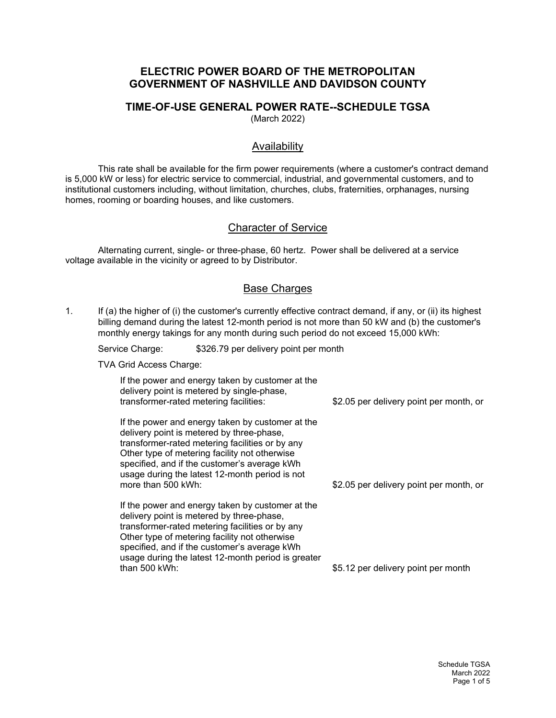#### **ELECTRIC POWER BOARD OF THE METROPOLITAN GOVERNMENT OF NASHVILLE AND DAVIDSON COUNTY**

# **TIME-OF-USE GENERAL POWER RATE--SCHEDULE TGSA**

(March 2022)

### Availability

This rate shall be available for the firm power requirements (where a customer's contract demand is 5,000 kW or less) for electric service to commercial, industrial, and governmental customers, and to institutional customers including, without limitation, churches, clubs, fraternities, orphanages, nursing homes, rooming or boarding houses, and like customers.

### Character of Service

Alternating current, single- or three-phase, 60 hertz. Power shall be delivered at a service voltage available in the vicinity or agreed to by Distributor.

### Base Charges

1. If (a) the higher of (i) the customer's currently effective contract demand, if any, or (ii) its highest billing demand during the latest 12-month period is not more than 50 kW and (b) the customer's monthly energy takings for any month during such period do not exceed 15,000 kWh:

Service Charge: \$326.79 per delivery point per month

TVA Grid Access Charge:

| If the power and energy taken by customer at the<br>delivery point is metered by single-phase,<br>transformer-rated metering facilities: | \$2.05 per delivery point per month, or |
|------------------------------------------------------------------------------------------------------------------------------------------|-----------------------------------------|
| If the neuron end energy telese by exceptions of the                                                                                     |                                         |

If the power and energy taken by customer at the delivery point is metered by three-phase, transformer-rated metering facilities or by any Other type of metering facility not otherwise specified, and if the customer's average kWh usage during the latest 12-month period is not more than 500 kWh:

If the power and energy taken by customer at the delivery point is metered by three-phase, transformer-rated metering facilities or by any Other type of metering facility not otherwise specified, and if the customer's average kWh usage during the latest 12-month period is greater than 500 kWh:

\$2.05 per delivery point per month, or

\$5.12 per delivery point per month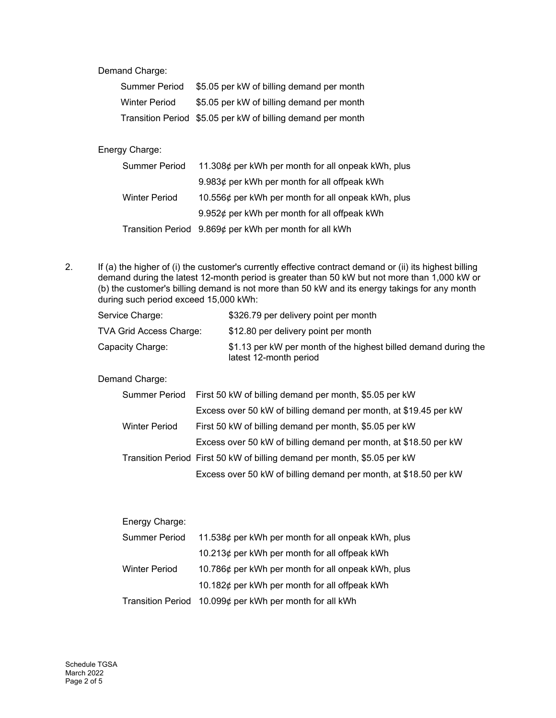Demand Charge:

| Summer Period        | \$5.05 per kW of billing demand per month                   |
|----------------------|-------------------------------------------------------------|
| <b>Winter Period</b> | \$5.05 per kW of billing demand per month                   |
|                      | Transition Period \$5.05 per kW of billing demand per month |

#### Energy Charge:

| Summer Period        | 11.308¢ per kWh per month for all onpeak kWh, plus     |
|----------------------|--------------------------------------------------------|
|                      | 9.983¢ per kWh per month for all offpeak kWh           |
| <b>Winter Period</b> | 10.556¢ per kWh per month for all onpeak kWh, plus     |
|                      | 9.952¢ per kWh per month for all offpeak kWh           |
|                      | Transition Period 9.869¢ per kWh per month for all kWh |

2. If (a) the higher of (i) the customer's currently effective contract demand or (ii) its highest billing demand during the latest 12-month period is greater than 50 kW but not more than 1,000 kW or (b) the customer's billing demand is not more than 50 kW and its energy takings for any month during such period exceed 15,000 kWh:

| Service Charge:         | \$326.79 per delivery point per month                                                     |
|-------------------------|-------------------------------------------------------------------------------------------|
| TVA Grid Access Charge: | \$12.80 per delivery point per month                                                      |
| Capacity Charge:        | \$1.13 per kW per month of the highest billed demand during the<br>latest 12-month period |

Demand Charge:

|               | Summer Period First 50 kW of billing demand per month, \$5.05 per kW     |
|---------------|--------------------------------------------------------------------------|
|               | Excess over 50 kW of billing demand per month, at \$19.45 per kW         |
| Winter Period | First 50 kW of billing demand per month, \$5.05 per kW                   |
|               | Excess over 50 kW of billing demand per month, at \$18.50 per kW         |
|               | Transition Period First 50 kW of billing demand per month, \$5.05 per kW |
|               | Excess over 50 kW of billing demand per month, at \$18.50 per kW         |

| Energy Charge:       |                                                         |  |
|----------------------|---------------------------------------------------------|--|
| Summer Period        | 11.538¢ per kWh per month for all onpeak kWh, plus      |  |
|                      | 10.213¢ per kWh per month for all offpeak kWh           |  |
| <b>Winter Period</b> | 10.786¢ per kWh per month for all onpeak kWh, plus      |  |
|                      | 10.182 $\phi$ per kWh per month for all offpeak kWh     |  |
|                      | Transition Period 10.099¢ per kWh per month for all kWh |  |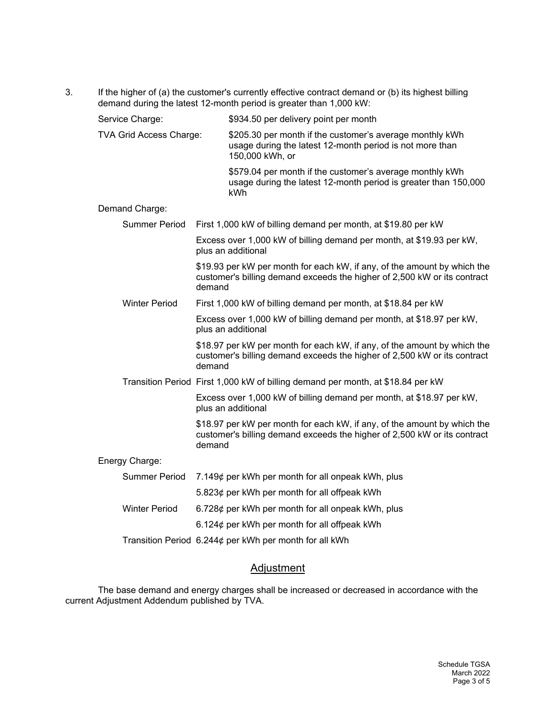3. If the higher of (a) the customer's currently effective contract demand or (b) its highest billing demand during the latest 12-month period is greater than 1,000 kW:

| Service Charge:                | \$934.50 per delivery point per month                                                                                                                          |
|--------------------------------|----------------------------------------------------------------------------------------------------------------------------------------------------------------|
| <b>TVA Grid Access Charge:</b> | \$205.30 per month if the customer's average monthly kWh<br>usage during the latest 12-month period is not more than<br>150,000 kWh, or                        |
|                                | \$579.04 per month if the customer's average monthly kWh<br>usage during the latest 12-month period is greater than 150,000<br>kWh                             |
| Demand Charge:                 |                                                                                                                                                                |
| <b>Summer Period</b>           | First 1,000 kW of billing demand per month, at \$19.80 per kW                                                                                                  |
|                                | Excess over 1,000 kW of billing demand per month, at \$19.93 per kW,<br>plus an additional                                                                     |
|                                | \$19.93 per kW per month for each kW, if any, of the amount by which the<br>customer's billing demand exceeds the higher of 2,500 kW or its contract<br>demand |
| <b>Winter Period</b>           | First 1,000 kW of billing demand per month, at \$18.84 per kW                                                                                                  |
|                                | Excess over 1,000 kW of billing demand per month, at \$18.97 per kW,<br>plus an additional                                                                     |
|                                | \$18.97 per kW per month for each kW, if any, of the amount by which the<br>customer's billing demand exceeds the higher of 2,500 kW or its contract<br>demand |
|                                | Transition Period First 1,000 kW of billing demand per month, at \$18.84 per kW                                                                                |
|                                | Excess over 1,000 kW of billing demand per month, at \$18.97 per kW,<br>plus an additional                                                                     |
|                                | \$18.97 per kW per month for each kW, if any, of the amount by which the<br>customer's billing demand exceeds the higher of 2,500 kW or its contract<br>demand |
| Energy Charge:                 |                                                                                                                                                                |
| <b>Summer Period</b>           | 7.149¢ per kWh per month for all onpeak kWh, plus                                                                                                              |
|                                | 5.823¢ per kWh per month for all offpeak kWh                                                                                                                   |
| <b>Winter Period</b>           | 6.728¢ per kWh per month for all onpeak kWh, plus                                                                                                              |
|                                | 6.124 $\phi$ per kWh per month for all offpeak kWh                                                                                                             |
|                                | Transition Period 6.244¢ per kWh per month for all kWh                                                                                                         |

### **Adjustment**

The base demand and energy charges shall be increased or decreased in accordance with the current Adjustment Addendum published by TVA.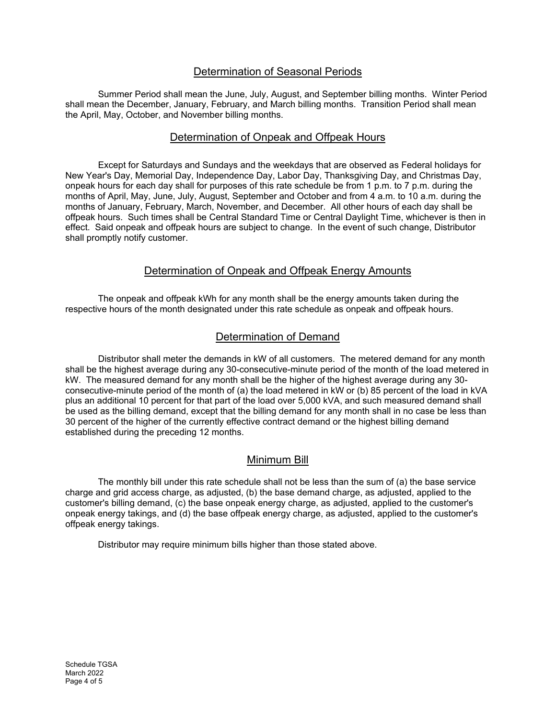### Determination of Seasonal Periods

Summer Period shall mean the June, July, August, and September billing months. Winter Period shall mean the December, January, February, and March billing months. Transition Period shall mean the April, May, October, and November billing months.

### Determination of Onpeak and Offpeak Hours

Except for Saturdays and Sundays and the weekdays that are observed as Federal holidays for New Year's Day, Memorial Day, Independence Day, Labor Day, Thanksgiving Day, and Christmas Day, onpeak hours for each day shall for purposes of this rate schedule be from 1 p.m. to 7 p.m. during the months of April, May, June, July, August, September and October and from 4 a.m. to 10 a.m. during the months of January, February, March, November, and December. All other hours of each day shall be offpeak hours. Such times shall be Central Standard Time or Central Daylight Time, whichever is then in effect. Said onpeak and offpeak hours are subject to change. In the event of such change, Distributor shall promptly notify customer.

### Determination of Onpeak and Offpeak Energy Amounts

The onpeak and offpeak kWh for any month shall be the energy amounts taken during the respective hours of the month designated under this rate schedule as onpeak and offpeak hours.

#### Determination of Demand

Distributor shall meter the demands in kW of all customers. The metered demand for any month shall be the highest average during any 30-consecutive-minute period of the month of the load metered in kW. The measured demand for any month shall be the higher of the highest average during any 30 consecutive-minute period of the month of (a) the load metered in kW or (b) 85 percent of the load in kVA plus an additional 10 percent for that part of the load over 5,000 kVA, and such measured demand shall be used as the billing demand, except that the billing demand for any month shall in no case be less than 30 percent of the higher of the currently effective contract demand or the highest billing demand established during the preceding 12 months.

### Minimum Bill

The monthly bill under this rate schedule shall not be less than the sum of (a) the base service charge and grid access charge, as adjusted, (b) the base demand charge, as adjusted, applied to the customer's billing demand, (c) the base onpeak energy charge, as adjusted, applied to the customer's onpeak energy takings, and (d) the base offpeak energy charge, as adjusted, applied to the customer's offpeak energy takings.

Distributor may require minimum bills higher than those stated above.